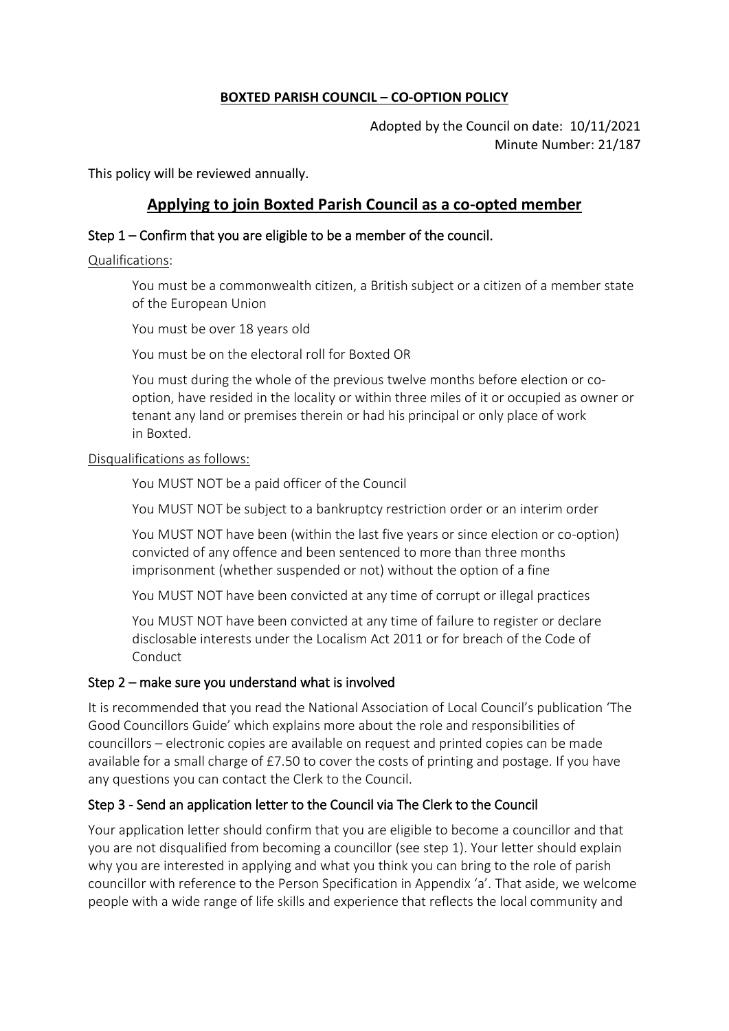### **BOXTED PARISH COUNCIL – CO-OPTION POLICY**

Adopted by the Council on date: 10/11/2021 Minute Number: 21/187

This policy will be reviewed annually.

## **Applying to join Boxted Parish Council as a co-opted member**

#### Step 1 – Confirm that you are eligible to be a member of the council.

Qualifications:

You must be a commonwealth citizen, a British subject or a citizen of a member state of the European Union

You must be over 18 years old

You must be on the electoral roll for Boxted OR

You must during the whole of the previous twelve months before election or cooption, have resided in the locality or within three miles of it or occupied as owner or tenant any land or premises therein or had his principal or only place of work in Boxted.

#### Disqualifications as follows:

You MUST NOT be a paid officer of the Council

You MUST NOT be subject to a bankruptcy restriction order or an interim order

You MUST NOT have been (within the last five years or since election or co-option) convicted of any offence and been sentenced to more than three months imprisonment (whether suspended or not) without the option of a fine

You MUST NOT have been convicted at any time of corrupt or illegal practices

You MUST NOT have been convicted at any time of failure to register or declare disclosable interests under the Localism Act 2011 or for breach of the Code of **Conduct** 

#### Step 2 – make sure you understand what is involved

It is recommended that you read the National Association of Local Council's publication 'The Good Councillors Guide' which explains more about the role and responsibilities of councillors – electronic copies are available on request and printed copies can be made available for a small charge of £7.50 to cover the costs of printing and postage. If you have any questions you can contact the Clerk to the Council.

#### Step 3 - Send an application letter to the Council via The Clerk to the Council

Your application letter should confirm that you are eligible to become a councillor and that you are not disqualified from becoming a councillor (see step 1). Your letter should explain why you are interested in applying and what you think you can bring to the role of parish councillor with reference to the Person Specification in Appendix 'a'. That aside, we welcome people with a wide range of life skills and experience that reflects the local community and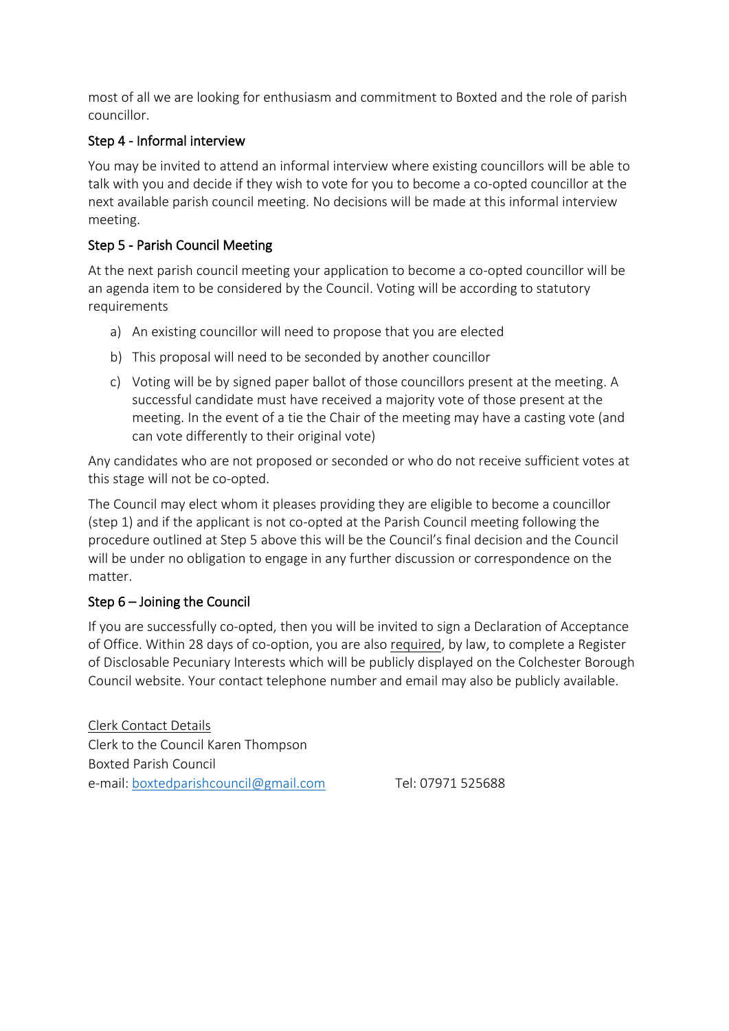most of all we are looking for enthusiasm and commitment to Boxted and the role of parish councillor.

# Step 4 - Informal interview

You may be invited to attend an informal interview where existing councillors will be able to talk with you and decide if they wish to vote for you to become a co-opted councillor at the next available parish council meeting. No decisions will be made at this informal interview meeting.

# Step 5 - Parish Council Meeting

At the next parish council meeting your application to become a co-opted councillor will be an agenda item to be considered by the Council. Voting will be according to statutory requirements

- a) An existing councillor will need to propose that you are elected
- b) This proposal will need to be seconded by another councillor
- c) Voting will be by signed paper ballot of those councillors present at the meeting. A successful candidate must have received a majority vote of those present at the meeting. In the event of a tie the Chair of the meeting may have a casting vote (and can vote differently to their original vote)

Any candidates who are not proposed or seconded or who do not receive sufficient votes at this stage will not be co-opted.

The Council may elect whom it pleases providing they are eligible to become a councillor (step 1) and if the applicant is not co-opted at the Parish Council meeting following the procedure outlined at Step 5 above this will be the Council's final decision and the Council will be under no obligation to engage in any further discussion or correspondence on the matter.

# Step 6 – Joining the Council

If you are successfully co-opted, then you will be invited to sign a Declaration of Acceptance of Office. Within 28 days of co-option, you are also required, by law, to complete a Register of Disclosable Pecuniary Interests which will be publicly displayed on the Colchester Borough Council website. Your contact telephone number and email may also be publicly available.

Clerk Contact Details Clerk to the Council Karen Thompson Boxted Parish Council e-mail: [boxtedparishcouncil@gmail.com](mailto:boxtedparishcouncil@gmail.com) Tel: 07971 525688